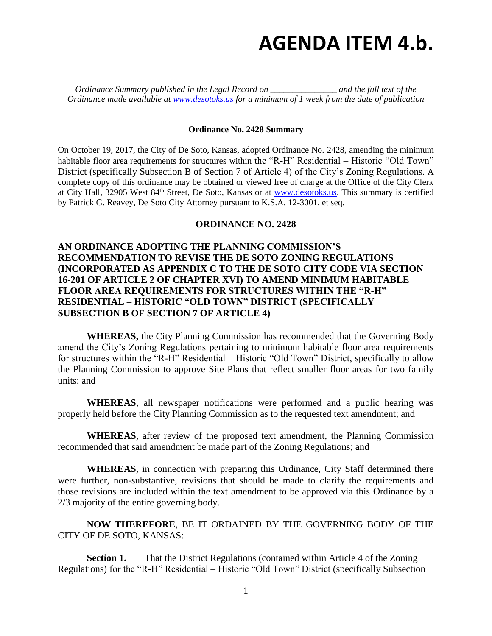## **AGENDA ITEM 4.b.**

*Ordinance Summary published in the Legal Record on \_\_\_\_\_\_\_\_\_\_\_\_\_\_\_ and the full text of the Ordinance made available at [www.desotoks.us](http://www.desotoks.us/) for a minimum of 1 week from the date of publication*

## **Ordinance No. 2428 Summary**

On October 19, 2017, the City of De Soto, Kansas, adopted Ordinance No. 2428, amending the minimum habitable floor area requirements for structures within the "R-H" Residential – Historic "Old Town" District (specifically Subsection B of Section 7 of Article 4) of the City's Zoning Regulations. A complete copy of this ordinance may be obtained or viewed free of charge at the Office of the City Clerk at City Hall, 32905 West 84<sup>th</sup> Street, De Soto, Kansas or at [www.desotoks.us.](http://www.desotoks.us/) This summary is certified by Patrick G. Reavey, De Soto City Attorney pursuant to K.S.A. 12-3001, et seq.

## **ORDINANCE NO. 2428**

## **AN ORDINANCE ADOPTING THE PLANNING COMMISSION'S RECOMMENDATION TO REVISE THE DE SOTO ZONING REGULATIONS (INCORPORATED AS APPENDIX C TO THE DE SOTO CITY CODE VIA SECTION 16-201 OF ARTICLE 2 OF CHAPTER XVI) TO AMEND MINIMUM HABITABLE FLOOR AREA REQUIREMENTS FOR STRUCTURES WITHIN THE "R-H" RESIDENTIAL – HISTORIC "OLD TOWN" DISTRICT (SPECIFICALLY SUBSECTION B OF SECTION 7 OF ARTICLE 4)**

**WHEREAS,** the City Planning Commission has recommended that the Governing Body amend the City's Zoning Regulations pertaining to minimum habitable floor area requirements for structures within the "R-H" Residential – Historic "Old Town" District, specifically to allow the Planning Commission to approve Site Plans that reflect smaller floor areas for two family units; and

**WHEREAS**, all newspaper notifications were performed and a public hearing was properly held before the City Planning Commission as to the requested text amendment; and

**WHEREAS**, after review of the proposed text amendment, the Planning Commission recommended that said amendment be made part of the Zoning Regulations; and

**WHEREAS**, in connection with preparing this Ordinance, City Staff determined there were further, non-substantive, revisions that should be made to clarify the requirements and those revisions are included within the text amendment to be approved via this Ordinance by a 2/3 majority of the entire governing body.

**NOW THEREFORE**, BE IT ORDAINED BY THE GOVERNING BODY OF THE CITY OF DE SOTO, KANSAS:

**Section 1.** That the District Regulations (contained within Article 4 of the Zoning Regulations) for the "R-H" Residential – Historic "Old Town" District (specifically Subsection